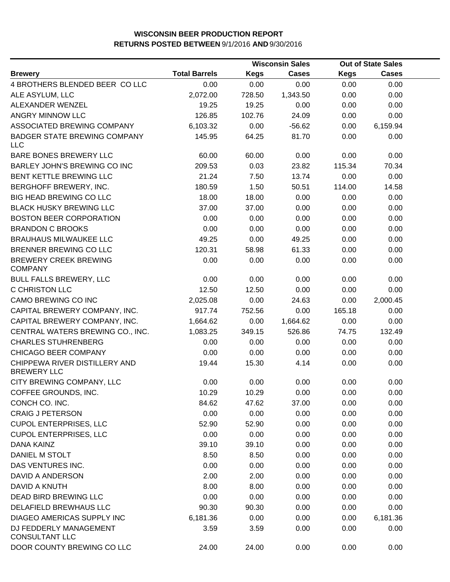|                                                     |                      |             | <b>Wisconsin Sales</b> |             | <b>Out of State Sales</b> |  |
|-----------------------------------------------------|----------------------|-------------|------------------------|-------------|---------------------------|--|
| <b>Brewery</b>                                      | <b>Total Barrels</b> | <b>Kegs</b> | <b>Cases</b>           | <b>Kegs</b> | <b>Cases</b>              |  |
| 4 BROTHERS BLENDED BEER CO LLC                      | 0.00                 | 0.00        | 0.00                   | 0.00        | 0.00                      |  |
| ALE ASYLUM, LLC                                     | 2,072.00             | 728.50      | 1,343.50               | 0.00        | 0.00                      |  |
| ALEXANDER WENZEL                                    | 19.25                | 19.25       | 0.00                   | 0.00        | 0.00                      |  |
| ANGRY MINNOW LLC                                    | 126.85               | 102.76      | 24.09                  | 0.00        | 0.00                      |  |
| ASSOCIATED BREWING COMPANY                          | 6,103.32             | 0.00        | $-56.62$               | 0.00        | 6,159.94                  |  |
| <b>BADGER STATE BREWING COMPANY</b><br><b>LLC</b>   | 145.95               | 64.25       | 81.70                  | 0.00        | 0.00                      |  |
| BARE BONES BREWERY LLC                              | 60.00                | 60.00       | 0.00                   | 0.00        | 0.00                      |  |
| BARLEY JOHN'S BREWING CO INC                        | 209.53               | 0.03        | 23.82                  | 115.34      | 70.34                     |  |
| BENT KETTLE BREWING LLC                             | 21.24                | 7.50        | 13.74                  | 0.00        | 0.00                      |  |
| BERGHOFF BREWERY, INC.                              | 180.59               | 1.50        | 50.51                  | 114.00      | 14.58                     |  |
| <b>BIG HEAD BREWING CO LLC</b>                      | 18.00                | 18.00       | 0.00                   | 0.00        | 0.00                      |  |
| <b>BLACK HUSKY BREWING LLC</b>                      | 37.00                | 37.00       | 0.00                   | 0.00        | 0.00                      |  |
| <b>BOSTON BEER CORPORATION</b>                      | 0.00                 | 0.00        | 0.00                   | 0.00        | 0.00                      |  |
| <b>BRANDON C BROOKS</b>                             | 0.00                 | 0.00        | 0.00                   | 0.00        | 0.00                      |  |
| <b>BRAUHAUS MILWAUKEE LLC</b>                       | 49.25                | 0.00        | 49.25                  | 0.00        | 0.00                      |  |
| BRENNER BREWING CO LLC                              | 120.31               | 58.98       | 61.33                  | 0.00        | 0.00                      |  |
| <b>BREWERY CREEK BREWING</b><br><b>COMPANY</b>      | 0.00                 | 0.00        | 0.00                   | 0.00        | 0.00                      |  |
| <b>BULL FALLS BREWERY, LLC</b>                      | 0.00                 | 0.00        | 0.00                   | 0.00        | 0.00                      |  |
| <b>C CHRISTON LLC</b>                               | 12.50                | 12.50       | 0.00                   | 0.00        | 0.00                      |  |
| CAMO BREWING CO INC                                 | 2,025.08             | 0.00        | 24.63                  | 0.00        | 2,000.45                  |  |
| CAPITAL BREWERY COMPANY, INC.                       | 917.74               | 752.56      | 0.00                   | 165.18      | 0.00                      |  |
| CAPITAL BREWERY COMPANY, INC.                       | 1,664.62             | 0.00        | 1,664.62               | 0.00        | 0.00                      |  |
| CENTRAL WATERS BREWING CO., INC.                    | 1,083.25             | 349.15      | 526.86                 | 74.75       | 132.49                    |  |
| <b>CHARLES STUHRENBERG</b>                          | 0.00                 | 0.00        | 0.00                   | 0.00        | 0.00                      |  |
| CHICAGO BEER COMPANY                                | 0.00                 | 0.00        | 0.00                   | 0.00        | 0.00                      |  |
| CHIPPEWA RIVER DISTILLERY AND<br><b>BREWERY LLC</b> | 19.44                | 15.30       | 4.14                   | 0.00        | 0.00                      |  |
| CITY BREWING COMPANY, LLC                           | 0.00                 | 0.00        | 0.00                   | 0.00        | 0.00                      |  |
| COFFEE GROUNDS, INC.                                | 10.29                | 10.29       | 0.00                   | 0.00        | 0.00                      |  |
| CONCH CO. INC.                                      | 84.62                | 47.62       | 37.00                  | 0.00        | 0.00                      |  |
| <b>CRAIG J PETERSON</b>                             | 0.00                 | 0.00        | 0.00                   | 0.00        | 0.00                      |  |
| <b>CUPOL ENTERPRISES, LLC</b>                       | 52.90                | 52.90       | 0.00                   | 0.00        | 0.00                      |  |
| <b>CUPOL ENTERPRISES, LLC</b>                       | 0.00                 | 0.00        | 0.00                   | 0.00        | 0.00                      |  |
| DANA KAINZ                                          | 39.10                | 39.10       | 0.00                   | 0.00        | 0.00                      |  |
| DANIEL M STOLT                                      | 8.50                 | 8.50        | 0.00                   | 0.00        | 0.00                      |  |
| DAS VENTURES INC.                                   | 0.00                 | 0.00        | 0.00                   | 0.00        | 0.00                      |  |
| DAVID A ANDERSON                                    | 2.00                 | 2.00        | 0.00                   | 0.00        | 0.00                      |  |
| DAVID A KNUTH                                       | 8.00                 | 8.00        | 0.00                   | 0.00        | 0.00                      |  |
| DEAD BIRD BREWING LLC                               | 0.00                 | 0.00        | 0.00                   | 0.00        | 0.00                      |  |
| DELAFIELD BREWHAUS LLC                              | 90.30                | 90.30       | 0.00                   | 0.00        | 0.00                      |  |
| DIAGEO AMERICAS SUPPLY INC                          | 6,181.36             | 0.00        | 0.00                   | 0.00        | 6,181.36                  |  |
| DJ FEDDERLY MANAGEMENT<br><b>CONSULTANT LLC</b>     | 3.59                 | 3.59        | 0.00                   | 0.00        | 0.00                      |  |
| DOOR COUNTY BREWING CO LLC                          | 24.00                | 24.00       | 0.00                   | 0.00        | 0.00                      |  |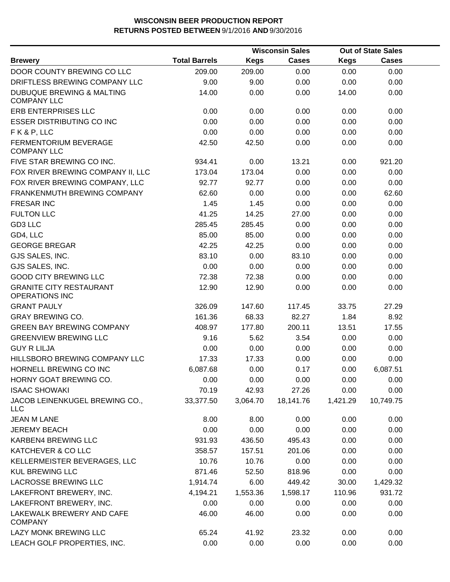|                                                            |                      |          | <b>Wisconsin Sales</b> |             | <b>Out of State Sales</b> |  |
|------------------------------------------------------------|----------------------|----------|------------------------|-------------|---------------------------|--|
| <b>Brewery</b>                                             | <b>Total Barrels</b> | Kegs     | <b>Cases</b>           | <b>Kegs</b> | <b>Cases</b>              |  |
| DOOR COUNTY BREWING CO LLC                                 | 209.00               | 209.00   | 0.00                   | 0.00        | 0.00                      |  |
| DRIFTLESS BREWING COMPANY LLC                              | 9.00                 | 9.00     | 0.00                   | 0.00        | 0.00                      |  |
| <b>DUBUQUE BREWING &amp; MALTING</b><br><b>COMPANY LLC</b> | 14.00                | 0.00     | 0.00                   | 14.00       | 0.00                      |  |
| ERB ENTERPRISES LLC                                        | 0.00                 | 0.00     | 0.00                   | 0.00        | 0.00                      |  |
| <b>ESSER DISTRIBUTING CO INC</b>                           | 0.00                 | 0.00     | 0.00                   | 0.00        | 0.00                      |  |
| FK&P, LLC                                                  | 0.00                 | 0.00     | 0.00                   | 0.00        | 0.00                      |  |
| FERMENTORIUM BEVERAGE<br><b>COMPANY LLC</b>                | 42.50                | 42.50    | 0.00                   | 0.00        | 0.00                      |  |
| FIVE STAR BREWING CO INC.                                  | 934.41               | 0.00     | 13.21                  | 0.00        | 921.20                    |  |
| FOX RIVER BREWING COMPANY II, LLC                          | 173.04               | 173.04   | 0.00                   | 0.00        | 0.00                      |  |
| FOX RIVER BREWING COMPANY, LLC                             | 92.77                | 92.77    | 0.00                   | 0.00        | 0.00                      |  |
| FRANKENMUTH BREWING COMPANY                                | 62.60                | 0.00     | 0.00                   | 0.00        | 62.60                     |  |
| <b>FRESAR INC</b>                                          | 1.45                 | 1.45     | 0.00                   | 0.00        | 0.00                      |  |
| <b>FULTON LLC</b>                                          | 41.25                | 14.25    | 27.00                  | 0.00        | 0.00                      |  |
| GD3 LLC                                                    | 285.45               | 285.45   | 0.00                   | 0.00        | 0.00                      |  |
| GD4, LLC                                                   | 85.00                | 85.00    | 0.00                   | 0.00        | 0.00                      |  |
| <b>GEORGE BREGAR</b>                                       | 42.25                | 42.25    | 0.00                   | 0.00        | 0.00                      |  |
| GJS SALES, INC.                                            | 83.10                | 0.00     | 83.10                  | 0.00        | 0.00                      |  |
| GJS SALES, INC.                                            | 0.00                 | 0.00     | 0.00                   | 0.00        | 0.00                      |  |
| <b>GOOD CITY BREWING LLC</b>                               | 72.38                | 72.38    | 0.00                   | 0.00        | 0.00                      |  |
| <b>GRANITE CITY RESTAURANT</b><br><b>OPERATIONS INC</b>    | 12.90                | 12.90    | 0.00                   | 0.00        | 0.00                      |  |
| <b>GRANT PAULY</b>                                         | 326.09               | 147.60   | 117.45                 | 33.75       | 27.29                     |  |
| <b>GRAY BREWING CO.</b>                                    | 161.36               | 68.33    | 82.27                  | 1.84        | 8.92                      |  |
| <b>GREEN BAY BREWING COMPANY</b>                           | 408.97               | 177.80   | 200.11                 | 13.51       | 17.55                     |  |
| <b>GREENVIEW BREWING LLC</b>                               | 9.16                 | 5.62     | 3.54                   | 0.00        | 0.00                      |  |
| <b>GUY R LILJA</b>                                         | 0.00                 | 0.00     | 0.00                   | 0.00        | 0.00                      |  |
| HILLSBORO BREWING COMPANY LLC                              | 17.33                | 17.33    | 0.00                   | 0.00        | 0.00                      |  |
| HORNELL BREWING CO INC                                     | 6,087.68             | 0.00     | 0.17                   | 0.00        | 6,087.51                  |  |
| HORNY GOAT BREWING CO.                                     | 0.00                 | 0.00     | 0.00                   | 0.00        | 0.00                      |  |
| <b>ISAAC SHOWAKI</b>                                       | 70.19                | 42.93    | 27.26                  | 0.00        | 0.00                      |  |
| JACOB LEINENKUGEL BREWING CO.,<br><b>LLC</b>               | 33,377.50            | 3,064.70 | 18,141.76              | 1,421.29    | 10,749.75                 |  |
| <b>JEAN M LANE</b>                                         | 8.00                 | 8.00     | 0.00                   | 0.00        | 0.00                      |  |
| <b>JEREMY BEACH</b>                                        | 0.00                 | 0.00     | 0.00                   | 0.00        | 0.00                      |  |
| KARBEN4 BREWING LLC                                        | 931.93               | 436.50   | 495.43                 | 0.00        | 0.00                      |  |
| KATCHEVER & CO LLC                                         | 358.57               | 157.51   | 201.06                 | 0.00        | 0.00                      |  |
| KELLERMEISTER BEVERAGES, LLC                               | 10.76                | 10.76    | 0.00                   | 0.00        | 0.00                      |  |
| <b>KUL BREWING LLC</b>                                     | 871.46               | 52.50    | 818.96                 | 0.00        | 0.00                      |  |
| <b>LACROSSE BREWING LLC</b>                                | 1,914.74             | 6.00     | 449.42                 | 30.00       | 1,429.32                  |  |
| LAKEFRONT BREWERY, INC.                                    | 4,194.21             | 1,553.36 | 1,598.17               | 110.96      | 931.72                    |  |
| LAKEFRONT BREWERY, INC.                                    | 0.00                 | 0.00     | 0.00                   | 0.00        | 0.00                      |  |
| LAKEWALK BREWERY AND CAFE<br><b>COMPANY</b>                | 46.00                | 46.00    | 0.00                   | 0.00        | 0.00                      |  |
| LAZY MONK BREWING LLC                                      | 65.24                | 41.92    | 23.32                  | 0.00        | 0.00                      |  |
| LEACH GOLF PROPERTIES, INC.                                | 0.00                 | 0.00     | 0.00                   | 0.00        | 0.00                      |  |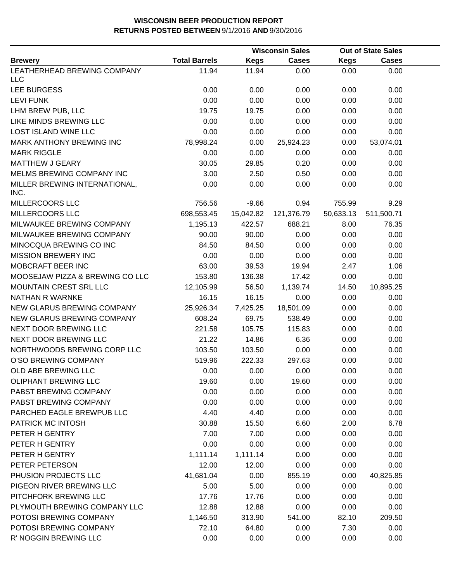|                                       |                      | <b>Wisconsin Sales</b> |              |           | <b>Out of State Sales</b> |  |
|---------------------------------------|----------------------|------------------------|--------------|-----------|---------------------------|--|
| <b>Brewery</b>                        | <b>Total Barrels</b> | <b>Kegs</b>            | <b>Cases</b> | Kegs      | <b>Cases</b>              |  |
| LEATHERHEAD BREWING COMPANY           | 11.94                | 11.94                  | 0.00         | 0.00      | 0.00                      |  |
| <b>LLC</b>                            |                      |                        |              |           |                           |  |
| LEE BURGESS                           | 0.00                 | 0.00                   | 0.00         | 0.00      | 0.00                      |  |
| <b>LEVI FUNK</b>                      | 0.00                 | 0.00                   | 0.00         | 0.00      | 0.00                      |  |
| LHM BREW PUB, LLC                     | 19.75                | 19.75                  | 0.00         | 0.00      | 0.00                      |  |
| LIKE MINDS BREWING LLC                | 0.00                 | 0.00                   | 0.00         | 0.00      | 0.00                      |  |
| <b>LOST ISLAND WINE LLC</b>           | 0.00                 | 0.00                   | 0.00         | 0.00      | 0.00                      |  |
| MARK ANTHONY BREWING INC              | 78,998.24            | 0.00                   | 25,924.23    | 0.00      | 53,074.01                 |  |
| <b>MARK RIGGLE</b>                    | 0.00                 | 0.00                   | 0.00         | 0.00      | 0.00                      |  |
| <b>MATTHEW J GEARY</b>                | 30.05                | 29.85                  | 0.20         | 0.00      | 0.00                      |  |
| MELMS BREWING COMPANY INC             | 3.00                 | 2.50                   | 0.50         | 0.00      | 0.00                      |  |
| MILLER BREWING INTERNATIONAL,<br>INC. | 0.00                 | 0.00                   | 0.00         | 0.00      | 0.00                      |  |
| MILLERCOORS LLC                       | 756.56               | $-9.66$                | 0.94         | 755.99    | 9.29                      |  |
| MILLERCOORS LLC                       | 698,553.45           | 15,042.82              | 121,376.79   | 50,633.13 | 511,500.71                |  |
| MILWAUKEE BREWING COMPANY             | 1,195.13             | 422.57                 | 688.21       | 8.00      | 76.35                     |  |
| MILWAUKEE BREWING COMPANY             | 90.00                | 90.00                  | 0.00         | 0.00      | 0.00                      |  |
| MINOCQUA BREWING CO INC               | 84.50                | 84.50                  | 0.00         | 0.00      | 0.00                      |  |
| <b>MISSION BREWERY INC</b>            | 0.00                 | 0.00                   | 0.00         | 0.00      | 0.00                      |  |
| MOBCRAFT BEER INC                     | 63.00                | 39.53                  | 19.94        | 2.47      | 1.06                      |  |
| MOOSEJAW PIZZA & BREWING CO LLC       | 153.80               | 136.38                 | 17.42        | 0.00      | 0.00                      |  |
| MOUNTAIN CREST SRL LLC                | 12,105.99            | 56.50                  | 1,139.74     | 14.50     | 10,895.25                 |  |
| <b>NATHAN R WARNKE</b>                | 16.15                | 16.15                  | 0.00         | 0.00      | 0.00                      |  |
| NEW GLARUS BREWING COMPANY            | 25,926.34            | 7,425.25               | 18,501.09    | 0.00      | 0.00                      |  |
| NEW GLARUS BREWING COMPANY            | 608.24               | 69.75                  | 538.49       | 0.00      | 0.00                      |  |
| NEXT DOOR BREWING LLC                 | 221.58               | 105.75                 | 115.83       | 0.00      | 0.00                      |  |
| NEXT DOOR BREWING LLC                 | 21.22                | 14.86                  | 6.36         | 0.00      | 0.00                      |  |
| NORTHWOODS BREWING CORP LLC           | 103.50               | 103.50                 | 0.00         | 0.00      | 0.00                      |  |
| O'SO BREWING COMPANY                  | 519.96               | 222.33                 | 297.63       | 0.00      | 0.00                      |  |
| OLD ABE BREWING LLC                   | 0.00                 | 0.00                   | 0.00         | 0.00      | 0.00                      |  |
| <b>OLIPHANT BREWING LLC</b>           | 19.60                | 0.00                   | 19.60        | 0.00      | 0.00                      |  |
| PABST BREWING COMPANY                 | 0.00                 | 0.00                   | 0.00         | 0.00      | 0.00                      |  |
| PABST BREWING COMPANY                 | 0.00                 | 0.00                   | 0.00         | 0.00      | 0.00                      |  |
| PARCHED EAGLE BREWPUB LLC             | 4.40                 | 4.40                   | 0.00         | 0.00      | 0.00                      |  |
| PATRICK MC INTOSH                     | 30.88                | 15.50                  | 6.60         | 2.00      | 6.78                      |  |
| PETER H GENTRY                        | 7.00                 | 7.00                   | 0.00         | 0.00      | 0.00                      |  |
| PETER H GENTRY                        | 0.00                 | 0.00                   | 0.00         | 0.00      | 0.00                      |  |
| PETER H GENTRY                        | 1,111.14             | 1,111.14               | 0.00         | 0.00      | 0.00                      |  |
| PETER PETERSON                        | 12.00                | 12.00                  | 0.00         | 0.00      | 0.00                      |  |
| PHUSION PROJECTS LLC                  | 41,681.04            | 0.00                   | 855.19       | 0.00      | 40,825.85                 |  |
| PIGEON RIVER BREWING LLC              | 5.00                 | 5.00                   | 0.00         | 0.00      | 0.00                      |  |
| PITCHFORK BREWING LLC                 | 17.76                | 17.76                  | 0.00         | 0.00      | 0.00                      |  |
| PLYMOUTH BREWING COMPANY LLC          | 12.88                | 12.88                  | 0.00         | 0.00      | 0.00                      |  |
| POTOSI BREWING COMPANY                | 1,146.50             | 313.90                 | 541.00       | 82.10     | 209.50                    |  |
| POTOSI BREWING COMPANY                | 72.10                | 64.80                  | 0.00         | 7.30      | 0.00                      |  |
| R' NOGGIN BREWING LLC                 | 0.00                 | 0.00                   | 0.00         | 0.00      | 0.00                      |  |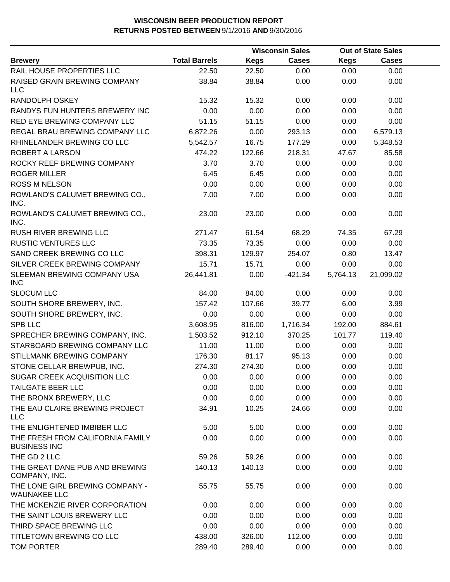|                                                         |                      |             | <b>Wisconsin Sales</b> |             | <b>Out of State Sales</b> |  |
|---------------------------------------------------------|----------------------|-------------|------------------------|-------------|---------------------------|--|
| <b>Brewery</b>                                          | <b>Total Barrels</b> | <b>Kegs</b> | <b>Cases</b>           | <b>Kegs</b> | <b>Cases</b>              |  |
| RAIL HOUSE PROPERTIES LLC                               | 22.50                | 22.50       | 0.00                   | 0.00        | 0.00                      |  |
| RAISED GRAIN BREWING COMPANY<br><b>LLC</b>              | 38.84                | 38.84       | 0.00                   | 0.00        | 0.00                      |  |
| RANDOLPH OSKEY                                          | 15.32                | 15.32       | 0.00                   | 0.00        | 0.00                      |  |
| RANDYS FUN HUNTERS BREWERY INC                          | 0.00                 | 0.00        | 0.00                   | 0.00        | 0.00                      |  |
| RED EYE BREWING COMPANY LLC                             | 51.15                | 51.15       | 0.00                   | 0.00        | 0.00                      |  |
| REGAL BRAU BREWING COMPANY LLC                          | 6,872.26             | 0.00        | 293.13                 | 0.00        | 6,579.13                  |  |
| RHINELANDER BREWING CO LLC                              | 5,542.57             | 16.75       | 177.29                 | 0.00        | 5,348.53                  |  |
| ROBERT A LARSON                                         | 474.22               | 122.66      | 218.31                 | 47.67       | 85.58                     |  |
| ROCKY REEF BREWING COMPANY                              | 3.70                 | 3.70        | 0.00                   | 0.00        | 0.00                      |  |
| <b>ROGER MILLER</b>                                     | 6.45                 | 6.45        | 0.00                   | 0.00        | 0.00                      |  |
| <b>ROSS M NELSON</b>                                    | 0.00                 | 0.00        | 0.00                   | 0.00        | 0.00                      |  |
| ROWLAND'S CALUMET BREWING CO.,<br>INC.                  | 7.00                 | 7.00        | 0.00                   | 0.00        | 0.00                      |  |
| ROWLAND'S CALUMET BREWING CO.,<br>INC.                  | 23.00                | 23.00       | 0.00                   | 0.00        | 0.00                      |  |
| RUSH RIVER BREWING LLC                                  | 271.47               | 61.54       | 68.29                  | 74.35       | 67.29                     |  |
| <b>RUSTIC VENTURES LLC</b>                              | 73.35                | 73.35       | 0.00                   | 0.00        | 0.00                      |  |
| SAND CREEK BREWING CO LLC                               | 398.31               | 129.97      | 254.07                 | 0.80        | 13.47                     |  |
| SILVER CREEK BREWING COMPANY                            | 15.71                | 15.71       | 0.00                   | 0.00        | 0.00                      |  |
| SLEEMAN BREWING COMPANY USA<br><b>INC</b>               | 26,441.81            | 0.00        | $-421.34$              | 5,764.13    | 21,099.02                 |  |
| <b>SLOCUM LLC</b>                                       | 84.00                | 84.00       | 0.00                   | 0.00        | 0.00                      |  |
| SOUTH SHORE BREWERY, INC.                               | 157.42               | 107.66      | 39.77                  | 6.00        | 3.99                      |  |
| SOUTH SHORE BREWERY, INC.                               | 0.00                 | 0.00        | 0.00                   | 0.00        | 0.00                      |  |
| <b>SPB LLC</b>                                          | 3,608.95             | 816.00      | 1,716.34               | 192.00      | 884.61                    |  |
| SPRECHER BREWING COMPANY, INC.                          | 1,503.52             | 912.10      | 370.25                 | 101.77      | 119.40                    |  |
| STARBOARD BREWING COMPANY LLC                           | 11.00                | 11.00       | 0.00                   | 0.00        | 0.00                      |  |
| STILLMANK BREWING COMPANY                               | 176.30               | 81.17       | 95.13                  | 0.00        | 0.00                      |  |
| STONE CELLAR BREWPUB, INC.                              | 274.30               | 274.30      | 0.00                   | 0.00        | 0.00                      |  |
| <b>SUGAR CREEK ACQUISITION LLC</b>                      | 0.00                 | 0.00        | 0.00                   | 0.00        | 0.00                      |  |
| <b>TAILGATE BEER LLC</b>                                | 0.00                 | 0.00        | 0.00                   | 0.00        | 0.00                      |  |
| THE BRONX BREWERY, LLC                                  | 0.00                 | 0.00        | 0.00                   | 0.00        | 0.00                      |  |
| THE EAU CLAIRE BREWING PROJECT<br><b>LLC</b>            | 34.91                | 10.25       | 24.66                  | 0.00        | 0.00                      |  |
| THE ENLIGHTENED IMBIBER LLC                             | 5.00                 | 5.00        | 0.00                   | 0.00        | 0.00                      |  |
| THE FRESH FROM CALIFORNIA FAMILY<br><b>BUSINESS INC</b> | 0.00                 | 0.00        | 0.00                   | 0.00        | 0.00                      |  |
| THE GD 2 LLC                                            | 59.26                | 59.26       | 0.00                   | 0.00        | 0.00                      |  |
| THE GREAT DANE PUB AND BREWING<br>COMPANY, INC.         | 140.13               | 140.13      | 0.00                   | 0.00        | 0.00                      |  |
| THE LONE GIRL BREWING COMPANY -<br><b>WAUNAKEE LLC</b>  | 55.75                | 55.75       | 0.00                   | 0.00        | 0.00                      |  |
| THE MCKENZIE RIVER CORPORATION                          | 0.00                 | 0.00        | 0.00                   | 0.00        | 0.00                      |  |
| THE SAINT LOUIS BREWERY LLC                             | 0.00                 | 0.00        | 0.00                   | 0.00        | 0.00                      |  |
| THIRD SPACE BREWING LLC                                 | 0.00                 | 0.00        | 0.00                   | 0.00        | 0.00                      |  |
| TITLETOWN BREWING CO LLC                                | 438.00               | 326.00      | 112.00                 | 0.00        | 0.00                      |  |
| <b>TOM PORTER</b>                                       | 289.40               | 289.40      | 0.00                   | 0.00        | 0.00                      |  |